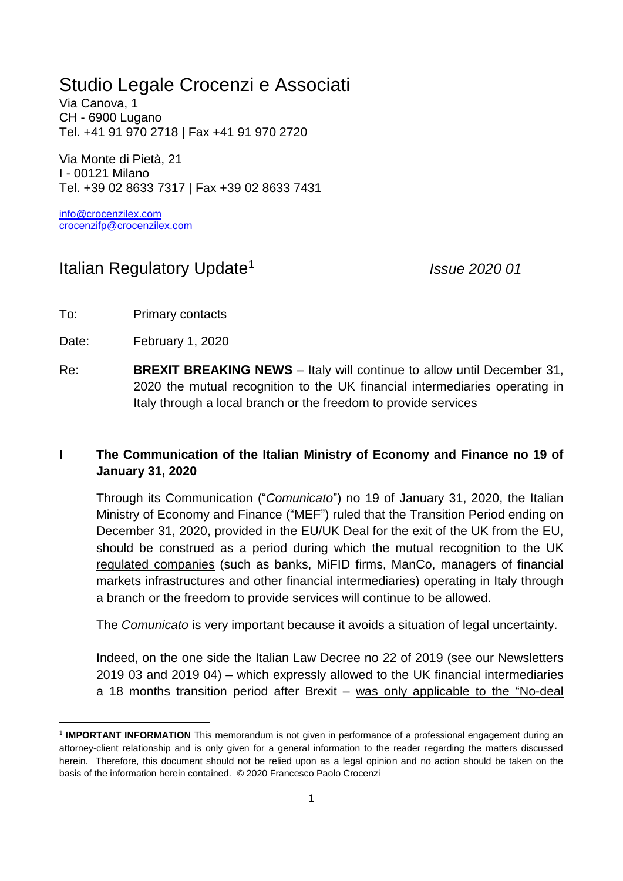## Studio Legale Crocenzi e Associati

Via Canova, 1 CH - 6900 Lugano Tel. +41 91 970 2718 | Fax +41 91 970 2720

Via Monte di Pietà, 21 I - 00121 Milano Tel. +39 02 8633 7317 | Fax +39 02 8633 7431

[info@crocenzilex.com](mailto:info@crocenzilex.com) [crocenzifp@crocenzilex.com](mailto:crocenzifp@crocenzilex.com)

## Italian Regulatory Update<sup>1</sup>

*Issue 2020 01*

To: Primary contacts

Date: February 1, 2020

**.** 

Re: **BREXIT BREAKING NEWS** – Italy will continue to allow until December 31, 2020 the mutual recognition to the UK financial intermediaries operating in Italy through a local branch or the freedom to provide services

## **I The Communication of the Italian Ministry of Economy and Finance no 19 of January 31, 2020**

Through its Communication ("*Comunicato*") no 19 of January 31, 2020, the Italian Ministry of Economy and Finance ("MEF") ruled that the Transition Period ending on December 31, 2020, provided in the EU/UK Deal for the exit of the UK from the EU, should be construed as a period during which the mutual recognition to the UK regulated companies (such as banks, MiFID firms, ManCo, managers of financial markets infrastructures and other financial intermediaries) operating in Italy through a branch or the freedom to provide services will continue to be allowed.

The *Comunicato* is very important because it avoids a situation of legal uncertainty.

Indeed, on the one side the Italian Law Decree no 22 of 2019 (see our Newsletters 2019 03 and 2019 04) – which expressly allowed to the UK financial intermediaries a 18 months transition period after Brexit – was only applicable to the "No-deal

<sup>&</sup>lt;sup>1</sup> **IMPORTANT INFORMATION** This memorandum is not given in performance of a professional engagement during an attorney-client relationship and is only given for a general information to the reader regarding the matters discussed herein. Therefore, this document should not be relied upon as a legal opinion and no action should be taken on the basis of the information herein contained. © 2020 Francesco Paolo Crocenzi